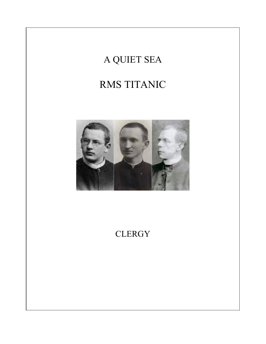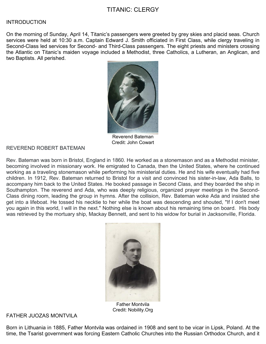# TITANIC: CLERGY

#### **INTRODUCTION**

On the morning of Sunday, April 14, Titanic's passengers were greeted by grey skies and placid seas. Church services were held at 10:30 a.m. Captain Edward J. Smith officiated in First Class, while clergy traveling in Second-Class led services for Second- and Third-Class passengers. The eight priests and ministers crossing the Atlantic on Titanic's maiden voyage included a Methodist, three Catholics, a Lutheran, an Anglican, and two Baptists. All perished.



Reverend Bateman Credit: John Cowart

### REVEREND ROBERT BATEMAN

Rev. Bateman was born in Bristol, England in 1860. He worked as a stonemason and as a Methodist minister, becoming involved in missionary work. He emigrated to Canada, then the United States, where he continued working as a traveling stonemason while performing his ministerial duties. He and his wife eventually had five children. In 1912, Rev. Bateman returned to Bristol for a visit and convinced his sister-in-law, Ada Balls, to accompany him back to the United States. He booked passage in Second Class, and they boarded the ship in Southampton. The reverend and Ada, who was deeply religious, organized prayer meetings in the Second-Class dining room, leading the group in hymns. After the collision, Rev. Bateman woke Ada and insisted she get into a lifeboat. He tossed his necktie to her while the boat was descending and shouted, "If I don't meet you again in this world, I will in the next." Nothing else is known about his remaining time on board. His body was retrieved by the mortuary ship, Mackay Bennett, and sent to his widow for burial in Jacksonville, Florida.



Father Montvila Credit: Nobility.Org

FATHER JUOZAS MONTVILA

Born in Lithuania in 1885, Father Montvila was ordained in 1908 and sent to be vicar in Lipsk, Poland. At the time, the Tsarist government was forcing Eastern Catholic Churches into the Russian Orthodox Church, and it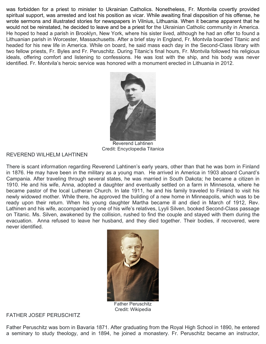was forbidden for a priest to minister to Ukrainian Catholics. Nonetheless, Fr. Montvila covertly provided spiritual support, was arrested and lost his position as vicar. While awaiting final disposition of his offense, he wrote sermons and illustrated stories for newspapers in Vilnius, Lithuania. When it became apparent that he would not be reinstated, he decided to leave and be a priest for the Ukrainian Catholic community in America. He hoped to head a parish in Brooklyn, New York, where his sister lived, although he had an offer to found a Lithuanian parish in Worcester, Massachusetts. After a brief stay in England, Fr. Montvila boarded Titanic and headed for his new life in America. While on board, he said mass each day in the Second-Class library with two fellow priests, Fr. Byles and Fr. Peruschitz. During Titanic's final hours, Fr. Montvila followed his religious ideals, offering comfort and listening to confessions. He was lost with the ship, and his body was never identified. Fr. Montvila's heroic service was honored with a monument erected in Lithuania in 2012.



Reverend Lahtinen Credit: Encyclopedia Titanica

## REVEREND WILHELM LAHTINEN

There is scant information regarding Reverend Lahtinen's early years, other than that he was born in Finland in 1876. He may have been in the military as a young man. He arrived in America in 1903 aboard Cunard's Campania. After traveling through several states, he was married in South Dakota; he became a citizen in 1910. He and his wife, Anna, adopted a daughter and eventually settled on a farm in Minnesota, where he became pastor of the local Lutheran Church. In late 1911, he and his family traveled to Finland to visit his newly widowed mother. While there, he approved the building of a new home in Minneapolis, which was to be ready upon their return. When his young daughter Martha became ill and died in March of 1912, Rev. Lathinen and his wife, accompanied by one of his wife's relatives, Lyyli Silven, booked Second-Class passage on Titanic. Ms. Silven, awakened by the collision, rushed to find the couple and stayed with them during the evacuation. Anna refused to leave her husband, and they died together. Their bodies, if recovered, were never identified.



Father Peruschitz Credit: Wikipedia

# FATHER JOSEF PERUSCHITZ

Father Peruschitz was born in Bavaria 1871. After graduating from the Royal High School in 1890, he entered a seminary to study theology, and in 1894, he joined a monastery. Fr. Peruschitz became an instructor,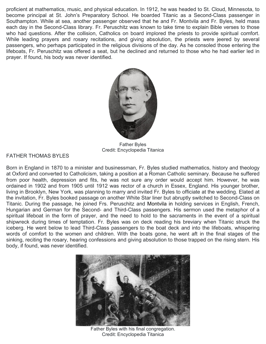proficient at mathematics, music, and physical education. In 1912, he was headed to St. Cloud, Minnesota, to become principal at St. John's Preparatory School. He boarded Titanic as a Second-Class passenger in Southampton. While at sea, another passenger observed that he and Fr. Montvila and Fr. Byles, held mass each day in the Second-Class library. Fr. Peruschitz was known to take time to explain Bible verses to those who had questions. After the collision, Catholics on board implored the priests to provide spiritual comfort. While leading prayers and rosary recitations, and giving absolution, the priests were jeered by several passengers, who perhaps participated in the religious divisions of the day. As he consoled those entering the lifeboats, Fr. Peruschitz was offered a seat, but he declined and returned to those who he had earlier led in prayer. If found, his body was never identified.



Father Byles Credit: Encyclopedia Titanica

FATHER THOMAS BYLES

Born in England in 1870 to a minister and businessman, Fr. Byles studied mathematics, history and theology at Oxford and converted to Catholicism, taking a position at a Roman Catholic seminary. Because he suffered from poor health, depression and fits, he was not sure any order would accept him. However, he was ordained in 1902 and from 1905 until 1912 was rector of a church in Essex, England. His younger brother, living in Brooklyn, New York, was planning to marry and invited Fr. Byles to officiate at the wedding. Elated at the invitation, Fr. Byles booked passage on another White Star liner but abruptly switched to Second-Class on Titanic. During the passage, he joined Frs. Peruschitz and Montvila in holding services in English, French, Hungarian and German for the Second- and Third-Class passengers. His sermon used the metaphor of a spiritual lifeboat in the form of prayer, and the need to hold to the sacraments in the event of a spiritual shipwreck during times of temptation. Fr. Byles was on deck reading his breviary when Titanic struck the iceberg. He went below to lead Third-Class passengers to the boat deck and into the lifeboats, whispering words of comfort to the women and children. With the boats gone, he went aft in the final stages of the sinking, reciting the rosary, hearing confessions and giving absolution to those trapped on the rising stern. His body, if found, was never identified.



Father Byles with his final congregation. Credit: Encyclopedia Titanica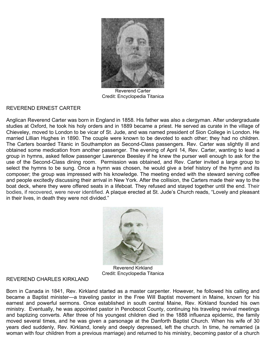

Reverend Carter Credit: Encyclopedia Titanica

## REVEREND ERNEST CARTER

Anglican Reverend Carter was born in England in 1858. His father was also a clergyman. After undergraduate studies at Oxford, he took his holy orders and in 1889 became a priest. He served as curate in the village of Chieveley, moved to London to be vicar of St. Jude, and was named president of Sion College in London. He married Lillian Hughes in 1890. The couple were known to be devoted to each other; they had no children. The Carters boarded Titanic in Southampton as Second-Class passengers. Rev. Carter was slightly ill and obtained some medication from another passenger. The evening of April 14, Rev. Carter, wanting to lead a group in hymns, asked fellow passenger Lawrence Beesley if he knew the purser well enough to ask for the use of the Second-Class dining room. Permission was obtained, and Rev. Carter invited a large group to select the hymns to be sung. Once a hymn was chosen, he would give a brief history of the hymn and its composer; the group was impressed with his knowledge. The meeting ended with the steward serving coffee and people excitedly discussing their arrival in New York. After the collision, the Carters made their way to the boat deck, where they were offered seats in a lifeboat. They refused and stayed together until the end. Their bodies, if recovered, were never identified. A plaque erected at St. Jude's Church reads, "Lovely and pleasant in their lives, in death they were not divided."



Reverend Kirkland Credit: Encyclopedia Titanica

### REVEREND CHARLES KIRKLAND

Born in Canada in 1841, Rev. Kirkland started as a master carpenter. However, he followed his calling and became a Baptist minister—a traveling pastor in the Free Will Baptist movement in Maine, known for his earnest and powerful sermons. Once established in south central Maine, Rev. Kirkland founded his own ministry. Eventually, he was appointed pastor in Penobscot County, continuing his traveling revival meetings and baptizing converts. After three of his youngest children died in the 1888 influenza epidemic, the family moved several times, and he was given a parsonage at the Danforth Baptist Church. When his wife of 30 years died suddenly, Rev. Kirkland, lonely and deeply depressed, left the church. In time, he remarried (a woman with four children from a previous marriage) and returned to his ministry, becoming pastor of a church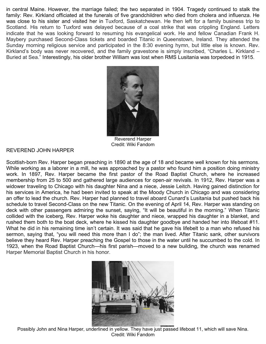in central Maine. However, the marriage failed; the two separated in 1904. Tragedy continued to stalk the family: Rev. Kirkland officiated at the funerals of five grandchildren who died from cholera and influenza. He was close to his sister and visited her in Tuxford, Saskatchewan. He then left for a family business trip to Scotland. His return to Tuxford was delayed because of a coal strike that was crippling England. Letters indicate that he was looking forward to resuming his evangelical work. He and fellow Canadian Frank H. Maybery purchased Second-Class tickets and boarded Titanic in Queenstown, Ireland. They attended the Sunday morning religious service and participated in the 8:30 evening hymn, but little else is known. Rev. Kirkland's body was never recovered, and the family gravestone is simply inscribed, "Charles L. Kirkland – Buried at Sea." Interestingly, his older brother William was lost when RMS Lusitania was torpedoed in 1915.



Reverend Harper Credit: Wiki Fandom

## REVEREND JOHN HARPER

Scottish-born Rev. Harper began preaching in 1890 at the age of 18 and became well known for his sermons. While working as a laborer in a mill, he was approached by a pastor who found him a position doing ministry work. In 1897, Rev. Harper became the first pastor of the Road Baptist Church, where he increased membership from 25 to 500 and gathered large audiences for open-air revivals. In 1912, Rev. Harper was a widower traveling to Chicago with his daughter Nina and a niece, Jessie Leitch. Having gained distinction for his services in America, he had been invited to speak at the Moody Church in Chicago and was considering an offer to lead the church. Rev. Harper had planned to travel aboard Cunard's Lusitania but pushed back his schedule to travel Second-Class on the new Titanic. On the evening of April 14, Rev. Harper was standing on deck with other passengers admiring the sunset, saying, "It will be beautiful in the morning." When Titanic collided with the iceberg, Rev. Harper woke his daughter and niece, wrapped his daughter in a blanket, and rushed them both to the boat deck, where he kissed his daughter goodbye and handed her into lifeboat #11. What he did in his remaining time isn't certain. It was said that he gave his lifebelt to a man who refused his sermon, saying that, "you will need this more than I do"; the man lived. After Titanic sank, other survivors believe they heard Rev. Harper preaching the Gospel to those in the water until he succumbed to the cold. In 1923, when the Road Baptist Church—his first parish—moved to a new building, the church was renamed Harper Memorial Baptist Church in his honor.



Possibly John and Nina Harper, underlined in yellow. They have just passed lifeboat 11, which will save Nina. Credit: Wiki Fandom